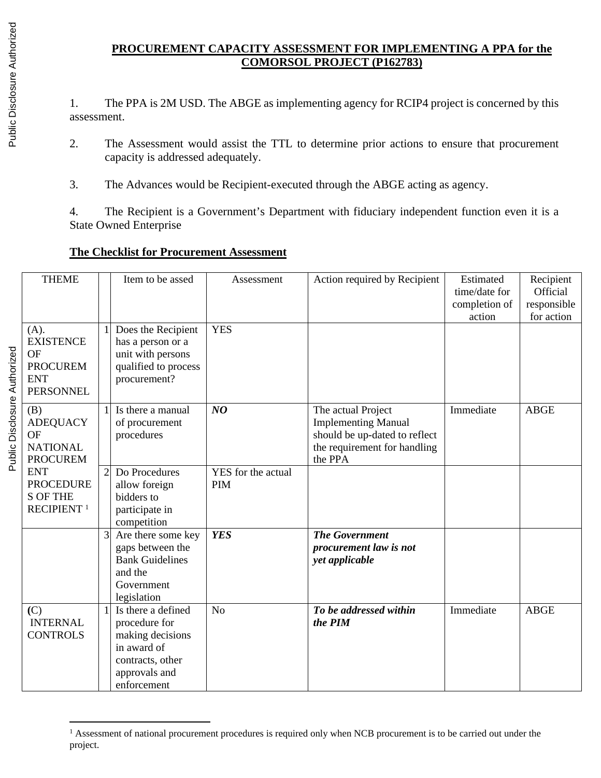# **PROCUREMENT CAPACITY ASSESSMENT FOR IMPLEMENTING A PPA for the COMORSOL PROJECT (P162783)**

1. The PPA is 2M USD. The ABGE as implementing agency for RCIP4 project is concerned by this assessment.

- 2. The Assessment would assist the TTL to determine prior actions to ensure that procurement capacity is addressed adequately.
- 3. The Advances would be Recipient-executed through the ABGE acting as agency.

4. The Recipient is a Government's Department with fiduciary independent function even it is a State Owned Enterprise

# **The Checklist for Procurement Assessment**

| <b>THEME</b><br>Item to be assed<br>Action required by Recipient<br>Estimated<br>Recipient<br>Assessment<br>Official<br>time/date for<br>completion of<br>responsible<br>for action<br>action<br><b>YES</b><br>(A).<br>$\mathbf{1}$<br>Does the Recipient<br><b>EXISTENCE</b><br>has a person or a<br>OF<br>unit with persons<br><b>PROCUREM</b><br>qualified to process<br><b>ENT</b><br>procurement?<br><b>PERSONNEL</b><br>Immediate<br>NO<br><b>ABGE</b><br>Is there a manual<br>The actual Project<br>(B)<br>1<br><b>ADEQUACY</b><br>of procurement<br><b>Implementing Manual</b><br><b>OF</b><br>procedures<br>should be up-dated to reflect<br>the requirement for handling<br><b>NATIONAL</b><br>the PPA<br><b>PROCUREM</b><br><b>ENT</b><br>Do Procedures<br>YES for the actual<br>2<br><b>PROCEDURE</b><br>allow foreign<br><b>PIM</b><br><b>S OF THE</b><br>bidders to<br>RECIPIENT <sup>1</sup><br>participate in<br>competition<br><b>YES</b><br>3<br>Are there some key<br><b>The Government</b><br>gaps between the<br>procurement law is not<br><b>Bank Guidelines</b><br>yet applicable<br>and the<br>Government<br>legislation<br>Is there a defined<br>To be addressed within<br>$\mathbf{1}$<br>N <sub>o</sub><br>Immediate<br><b>ABGE</b><br>(C)<br><b>INTERNAL</b><br>the PIM<br>procedure for<br><b>CONTROLS</b><br>making decisions<br>in award of<br>contracts, other<br>approvals and |  |  |  |
|-----------------------------------------------------------------------------------------------------------------------------------------------------------------------------------------------------------------------------------------------------------------------------------------------------------------------------------------------------------------------------------------------------------------------------------------------------------------------------------------------------------------------------------------------------------------------------------------------------------------------------------------------------------------------------------------------------------------------------------------------------------------------------------------------------------------------------------------------------------------------------------------------------------------------------------------------------------------------------------------------------------------------------------------------------------------------------------------------------------------------------------------------------------------------------------------------------------------------------------------------------------------------------------------------------------------------------------------------------------------------------------------------------------------|--|--|--|
|                                                                                                                                                                                                                                                                                                                                                                                                                                                                                                                                                                                                                                                                                                                                                                                                                                                                                                                                                                                                                                                                                                                                                                                                                                                                                                                                                                                                                 |  |  |  |
|                                                                                                                                                                                                                                                                                                                                                                                                                                                                                                                                                                                                                                                                                                                                                                                                                                                                                                                                                                                                                                                                                                                                                                                                                                                                                                                                                                                                                 |  |  |  |
|                                                                                                                                                                                                                                                                                                                                                                                                                                                                                                                                                                                                                                                                                                                                                                                                                                                                                                                                                                                                                                                                                                                                                                                                                                                                                                                                                                                                                 |  |  |  |
|                                                                                                                                                                                                                                                                                                                                                                                                                                                                                                                                                                                                                                                                                                                                                                                                                                                                                                                                                                                                                                                                                                                                                                                                                                                                                                                                                                                                                 |  |  |  |
|                                                                                                                                                                                                                                                                                                                                                                                                                                                                                                                                                                                                                                                                                                                                                                                                                                                                                                                                                                                                                                                                                                                                                                                                                                                                                                                                                                                                                 |  |  |  |
|                                                                                                                                                                                                                                                                                                                                                                                                                                                                                                                                                                                                                                                                                                                                                                                                                                                                                                                                                                                                                                                                                                                                                                                                                                                                                                                                                                                                                 |  |  |  |
|                                                                                                                                                                                                                                                                                                                                                                                                                                                                                                                                                                                                                                                                                                                                                                                                                                                                                                                                                                                                                                                                                                                                                                                                                                                                                                                                                                                                                 |  |  |  |
|                                                                                                                                                                                                                                                                                                                                                                                                                                                                                                                                                                                                                                                                                                                                                                                                                                                                                                                                                                                                                                                                                                                                                                                                                                                                                                                                                                                                                 |  |  |  |
|                                                                                                                                                                                                                                                                                                                                                                                                                                                                                                                                                                                                                                                                                                                                                                                                                                                                                                                                                                                                                                                                                                                                                                                                                                                                                                                                                                                                                 |  |  |  |
|                                                                                                                                                                                                                                                                                                                                                                                                                                                                                                                                                                                                                                                                                                                                                                                                                                                                                                                                                                                                                                                                                                                                                                                                                                                                                                                                                                                                                 |  |  |  |
|                                                                                                                                                                                                                                                                                                                                                                                                                                                                                                                                                                                                                                                                                                                                                                                                                                                                                                                                                                                                                                                                                                                                                                                                                                                                                                                                                                                                                 |  |  |  |
|                                                                                                                                                                                                                                                                                                                                                                                                                                                                                                                                                                                                                                                                                                                                                                                                                                                                                                                                                                                                                                                                                                                                                                                                                                                                                                                                                                                                                 |  |  |  |
|                                                                                                                                                                                                                                                                                                                                                                                                                                                                                                                                                                                                                                                                                                                                                                                                                                                                                                                                                                                                                                                                                                                                                                                                                                                                                                                                                                                                                 |  |  |  |
|                                                                                                                                                                                                                                                                                                                                                                                                                                                                                                                                                                                                                                                                                                                                                                                                                                                                                                                                                                                                                                                                                                                                                                                                                                                                                                                                                                                                                 |  |  |  |
|                                                                                                                                                                                                                                                                                                                                                                                                                                                                                                                                                                                                                                                                                                                                                                                                                                                                                                                                                                                                                                                                                                                                                                                                                                                                                                                                                                                                                 |  |  |  |
|                                                                                                                                                                                                                                                                                                                                                                                                                                                                                                                                                                                                                                                                                                                                                                                                                                                                                                                                                                                                                                                                                                                                                                                                                                                                                                                                                                                                                 |  |  |  |
|                                                                                                                                                                                                                                                                                                                                                                                                                                                                                                                                                                                                                                                                                                                                                                                                                                                                                                                                                                                                                                                                                                                                                                                                                                                                                                                                                                                                                 |  |  |  |
|                                                                                                                                                                                                                                                                                                                                                                                                                                                                                                                                                                                                                                                                                                                                                                                                                                                                                                                                                                                                                                                                                                                                                                                                                                                                                                                                                                                                                 |  |  |  |
|                                                                                                                                                                                                                                                                                                                                                                                                                                                                                                                                                                                                                                                                                                                                                                                                                                                                                                                                                                                                                                                                                                                                                                                                                                                                                                                                                                                                                 |  |  |  |
|                                                                                                                                                                                                                                                                                                                                                                                                                                                                                                                                                                                                                                                                                                                                                                                                                                                                                                                                                                                                                                                                                                                                                                                                                                                                                                                                                                                                                 |  |  |  |
|                                                                                                                                                                                                                                                                                                                                                                                                                                                                                                                                                                                                                                                                                                                                                                                                                                                                                                                                                                                                                                                                                                                                                                                                                                                                                                                                                                                                                 |  |  |  |
|                                                                                                                                                                                                                                                                                                                                                                                                                                                                                                                                                                                                                                                                                                                                                                                                                                                                                                                                                                                                                                                                                                                                                                                                                                                                                                                                                                                                                 |  |  |  |
|                                                                                                                                                                                                                                                                                                                                                                                                                                                                                                                                                                                                                                                                                                                                                                                                                                                                                                                                                                                                                                                                                                                                                                                                                                                                                                                                                                                                                 |  |  |  |
|                                                                                                                                                                                                                                                                                                                                                                                                                                                                                                                                                                                                                                                                                                                                                                                                                                                                                                                                                                                                                                                                                                                                                                                                                                                                                                                                                                                                                 |  |  |  |
|                                                                                                                                                                                                                                                                                                                                                                                                                                                                                                                                                                                                                                                                                                                                                                                                                                                                                                                                                                                                                                                                                                                                                                                                                                                                                                                                                                                                                 |  |  |  |
|                                                                                                                                                                                                                                                                                                                                                                                                                                                                                                                                                                                                                                                                                                                                                                                                                                                                                                                                                                                                                                                                                                                                                                                                                                                                                                                                                                                                                 |  |  |  |
|                                                                                                                                                                                                                                                                                                                                                                                                                                                                                                                                                                                                                                                                                                                                                                                                                                                                                                                                                                                                                                                                                                                                                                                                                                                                                                                                                                                                                 |  |  |  |
|                                                                                                                                                                                                                                                                                                                                                                                                                                                                                                                                                                                                                                                                                                                                                                                                                                                                                                                                                                                                                                                                                                                                                                                                                                                                                                                                                                                                                 |  |  |  |
|                                                                                                                                                                                                                                                                                                                                                                                                                                                                                                                                                                                                                                                                                                                                                                                                                                                                                                                                                                                                                                                                                                                                                                                                                                                                                                                                                                                                                 |  |  |  |
|                                                                                                                                                                                                                                                                                                                                                                                                                                                                                                                                                                                                                                                                                                                                                                                                                                                                                                                                                                                                                                                                                                                                                                                                                                                                                                                                                                                                                 |  |  |  |
|                                                                                                                                                                                                                                                                                                                                                                                                                                                                                                                                                                                                                                                                                                                                                                                                                                                                                                                                                                                                                                                                                                                                                                                                                                                                                                                                                                                                                 |  |  |  |
|                                                                                                                                                                                                                                                                                                                                                                                                                                                                                                                                                                                                                                                                                                                                                                                                                                                                                                                                                                                                                                                                                                                                                                                                                                                                                                                                                                                                                 |  |  |  |
| enforcement                                                                                                                                                                                                                                                                                                                                                                                                                                                                                                                                                                                                                                                                                                                                                                                                                                                                                                                                                                                                                                                                                                                                                                                                                                                                                                                                                                                                     |  |  |  |

<sup>&</sup>lt;sup>1</sup> Assessment of national procurement procedures is required only when NCB procurement is to be carried out under the project.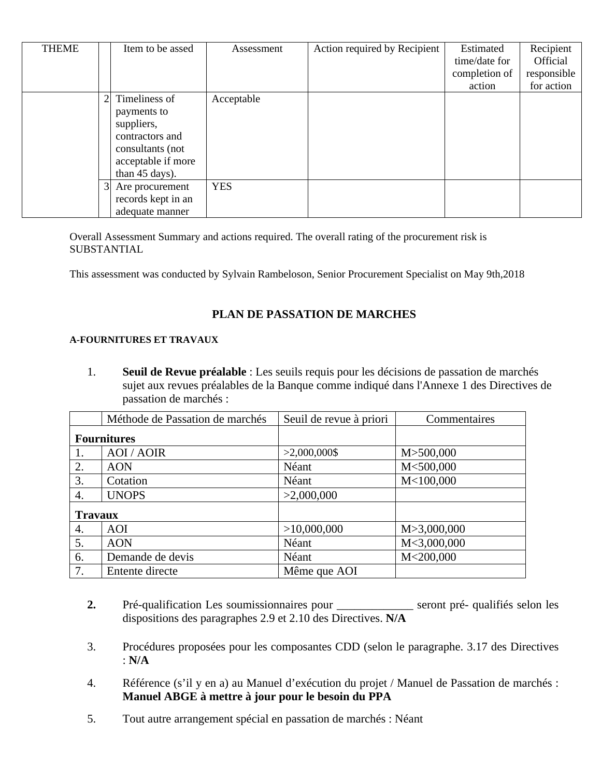| <b>THEME</b> |    | Item to be assed   | Assessment | Action required by Recipient | Estimated     | Recipient       |
|--------------|----|--------------------|------------|------------------------------|---------------|-----------------|
|              |    |                    |            |                              | time/date for | <b>Official</b> |
|              |    |                    |            |                              | completion of | responsible     |
|              |    |                    |            |                              | action        | for action      |
|              | 21 | Timeliness of      | Acceptable |                              |               |                 |
|              |    | payments to        |            |                              |               |                 |
|              |    | suppliers,         |            |                              |               |                 |
|              |    | contractors and    |            |                              |               |                 |
|              |    | consultants (not   |            |                              |               |                 |
|              |    | acceptable if more |            |                              |               |                 |
|              |    | than 45 days).     |            |                              |               |                 |
|              | 31 | Are procurement    | <b>YES</b> |                              |               |                 |
|              |    | records kept in an |            |                              |               |                 |
|              |    | adequate manner    |            |                              |               |                 |

Overall Assessment Summary and actions required. The overall rating of the procurement risk is **SUBSTANTIAL** 

This assessment was conducted by Sylvain Rambeloson, Senior Procurement Specialist on May 9th,2018

#### **PLAN DE PASSATION DE MARCHES**

#### **A-FOURNITURES ET TRAVAUX**

1. **Seuil de Revue préalable** : Les seuils requis pour les décisions de passation de marchés sujet aux revues préalables de la Banque comme indiqué dans l'Annexe 1 des Directives de passation de marchés :

|                | Méthode de Passation de marchés | Seuil de revue à priori | Commentaires |
|----------------|---------------------------------|-------------------------|--------------|
|                | <b>Fournitures</b>              |                         |              |
| 1.             | <b>AOI</b> / <b>AOIR</b>        | $>2,000,000$ \$         | M>500,000    |
| 2.             | <b>AON</b>                      | Néant                   | M<500,000    |
| 3.             | Cotation                        | Néant                   | M<100,000    |
| 4.             | <b>UNOPS</b>                    | >2,000,000              |              |
| <b>Travaux</b> |                                 |                         |              |
| 4.             | AOI                             | >10,000,000             | M>3,000,000  |
| 5.             | <b>AON</b>                      | Néant                   | M<3,000,000  |
| 6.             | Demande de devis                | Néant                   | M<200,000    |
| 7.             | Entente directe                 | Même que AOI            |              |

- **2.** Pré-qualification Les soumissionnaires pour \_\_\_\_\_\_\_\_\_\_\_\_\_ seront pré- qualifiés selon les dispositions des paragraphes 2.9 et 2.10 des Directives. **N/A**
- 3. Procédures proposées pour les composantes CDD (selon le paragraphe. 3.17 des Directives : **N/A**
- 4. Référence (s'il y en a) au Manuel d'exécution du projet / Manuel de Passation de marchés : **Manuel ABGE à mettre à jour pour le besoin du PPA**
- 5. Tout autre arrangement spécial en passation de marchés : Néant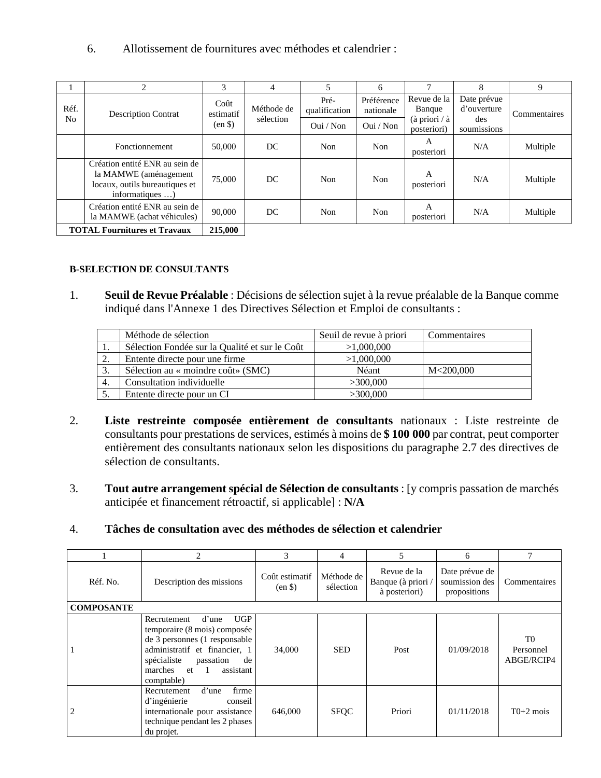6. Allotissement de fournitures avec méthodes et calendrier :

|            | 2                                                                                                            | 3                                  | 4                       | 5                     | 6                       | 7                                                   | 8                                 | 9            |
|------------|--------------------------------------------------------------------------------------------------------------|------------------------------------|-------------------------|-----------------------|-------------------------|-----------------------------------------------------|-----------------------------------|--------------|
| Réf.<br>No | <b>Description Contrat</b>                                                                                   | Coût<br>estimatif                  | Méthode de<br>sélection | Pré-<br>qualification | Préférence<br>nationale | Revue de la<br>Banque                               | Date prévue<br>d'ouverture<br>des | Commentaires |
|            |                                                                                                              | (en <sup>3</sup> )                 |                         | Oui / Non             | Oui / Non               | $(\hat{a} \text{ priori} / \hat{a})$<br>posteriori) | soumissions                       |              |
|            | Fonctionnement                                                                                               | 50,000<br>DC.<br><b>Non</b><br>Non |                         |                       |                         | A<br>posteriori                                     | N/A                               | Multiple     |
|            | Création entité ENR au sein de<br>la MAMWE (aménagement<br>locaux, outils bureautiques et<br>informatiques ) | 75,000                             | DC.                     | Non                   | <b>Non</b>              | $\mathsf{A}$<br>posteriori                          | N/A                               | Multiple     |
|            | Création entité ENR au sein de<br>la MAMWE (achat véhicules)                                                 | 90,000                             | DC.                     | <b>Non</b>            | Non                     | А<br>posteriori                                     | N/A                               | Multiple     |
|            | <b>TOTAL Fournitures et Travaux</b>                                                                          | 215,000                            |                         |                       |                         |                                                     |                                   |              |

### **B-SELECTION DE CONSULTANTS**

1. **Seuil de Revue Préalable** : Décisions de sélection sujet à la revue préalable de la Banque comme indiqué dans l'Annexe 1 des Directives Sélection et Emploi de consultants :

|     | Méthode de sélection                           | Seuil de revue à priori | Commentaires |
|-----|------------------------------------------------|-------------------------|--------------|
| ⊥.  | Sélection Fondée sur la Qualité et sur le Coût | >1,000,000              |              |
| 2.  | Entente directe pour une firme                 | >1,000,000              |              |
| -3. | Sélection au « moindre coût» (SMC)             | Néant                   | M<200,000    |
| 4.  | Consultation individuelle                      | >300,000                |              |
|     | Entente directe pour un CI                     | >300,000                |              |

- 2. **Liste restreinte composée entièrement de consultants** nationaux : Liste restreinte de consultants pour prestations de services, estimés à moins de **\$ 100 000** par contrat, peut comporter entièrement des consultants nationaux selon les dispositions du paragraphe 2.7 des directives de sélection de consultants.
- 3. **Tout autre arrangement spécial de Sélection de consultants** : [y compris passation de marchés anticipée et financement rétroactif, si applicable] : **N/A**

# 4. **Tâches de consultation avec des méthodes de sélection et calendrier**

|                   | 2                                                                                                                                                                                                                 | 3                                    | 4                       | 5                                                  | 6                                                |                                           |
|-------------------|-------------------------------------------------------------------------------------------------------------------------------------------------------------------------------------------------------------------|--------------------------------------|-------------------------|----------------------------------------------------|--------------------------------------------------|-------------------------------------------|
| Réf. No.          | Description des missions                                                                                                                                                                                          | Coût estimatif<br>(en <sup>§</sup> ) | Méthode de<br>sélection | Revue de la<br>Banque (à priori /<br>à posteriori) | Date prévue de<br>soumission des<br>propositions | Commentaires                              |
| <b>COMPOSANTE</b> |                                                                                                                                                                                                                   |                                      |                         |                                                    |                                                  |                                           |
|                   | <b>UGP</b><br>Recrutement<br>d'une<br>temporaire (8 mois) composée<br>de 3 personnes (1 responsable<br>administratif et financier, 1<br>spécialiste<br>passation<br>de<br>marches et 1<br>assistant<br>comptable) | 34,000                               | <b>SED</b>              | Post                                               | 01/09/2018                                       | T <sub>0</sub><br>Personnel<br>ABGE/RCIP4 |
| $\overline{2}$    | firme<br>d'une<br>Recrutement<br>d'ingénierie<br>conseil<br>internationale pour assistance<br>technique pendant les 2 phases<br>du projet.                                                                        | 646,000                              | <b>SFOC</b>             | Priori                                             | 01/11/2018                                       | $T0+2$ mois                               |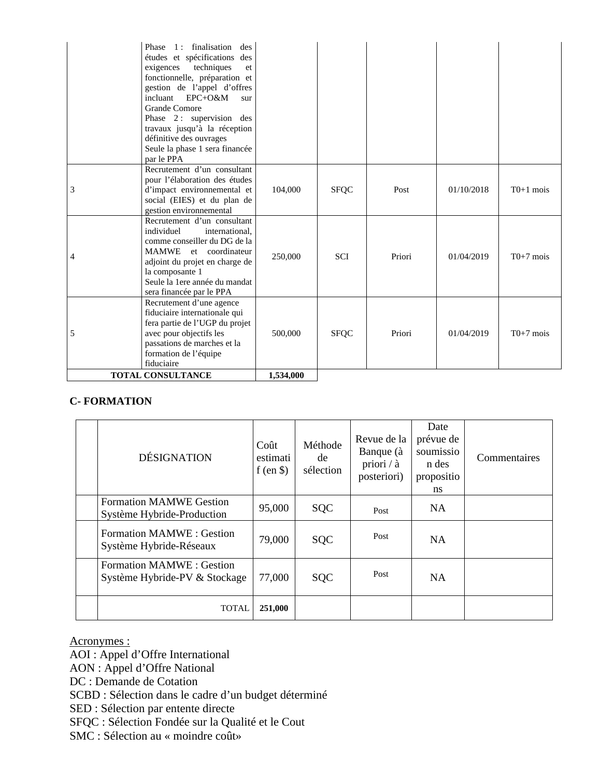|   | <b>TOTAL CONSULTANCE</b>                                                                                                                                                                                                                                                                                                                                | 1,534,000 |             |        |            |             |
|---|---------------------------------------------------------------------------------------------------------------------------------------------------------------------------------------------------------------------------------------------------------------------------------------------------------------------------------------------------------|-----------|-------------|--------|------------|-------------|
| 5 | Recrutement d'une agence<br>fiduciaire internationale qui<br>fera partie de l'UGP du projet<br>avec pour objectifs les<br>passations de marches et la<br>formation de l'équipe<br>fiduciaire                                                                                                                                                            | 500,000   | <b>SFQC</b> | Priori | 01/04/2019 | $T0+7$ mois |
| 4 | Recrutement d'un consultant<br>individuel<br>international.<br>comme conseiller du DG de la<br><b>MAMWE</b><br>et coordinateur<br>adjoint du projet en charge de<br>la composante 1<br>Seule la 1ere année du mandat<br>sera financée par le PPA                                                                                                        | 250,000   | <b>SCI</b>  | Priori | 01/04/2019 | $T0+7$ mois |
| 3 | Recrutement d'un consultant<br>pour l'élaboration des études<br>d'impact environnemental et<br>social (EIES) et du plan de<br>gestion environnemental                                                                                                                                                                                                   | 104,000   | <b>SFQC</b> | Post   | 01/10/2018 | $T0+1$ mois |
|   | Phase 1: finalisation<br>des<br>études et spécifications des<br>exigences<br>techniques<br>et<br>fonctionnelle, préparation et<br>gestion de l'appel d'offres<br>incluant EPC+O&M<br>sur<br><b>Grande Comore</b><br>Phase 2: supervision des<br>travaux jusqu'à la réception<br>définitive des ouvrages<br>Seule la phase 1 sera financée<br>par le PPA |           |             |        |            |             |

## **C- FORMATION**

| <b>DÉSIGNATION</b>                                               | Coût<br>estimati<br>f (en $\$ ) | Méthode<br>de<br>sélection | Revue de la<br>Banque (à<br>priori / à<br>posteriori) | Date<br>prévue de<br>soumissio<br>n des<br>propositio<br>ns | Commentaires |
|------------------------------------------------------------------|---------------------------------|----------------------------|-------------------------------------------------------|-------------------------------------------------------------|--------------|
| <b>Formation MAMWE Gestion</b><br>Système Hybride-Production     | 95,000                          | <b>SQC</b>                 | Post                                                  | <b>NA</b>                                                   |              |
| Formation MAMWE: Gestion<br>Système Hybride-Réseaux              | 79,000                          | <b>SQC</b>                 | Post                                                  | <b>NA</b>                                                   |              |
| <b>Formation MAMWE: Gestion</b><br>Système Hybride-PV & Stockage | 77,000                          | <b>SQC</b>                 | Post                                                  | <b>NA</b>                                                   |              |
| TOTAL                                                            | 251,000                         |                            |                                                       |                                                             |              |

#### Acronymes :

AOI : Appel d'Offre International

AON : Appel d'Offre National

DC : Demande de Cotation

SCBD : Sélection dans le cadre d'un budget déterminé

SED : Sélection par entente directe

SFQC : Sélection Fondée sur la Qualité et le Cout

SMC : Sélection au « moindre coût»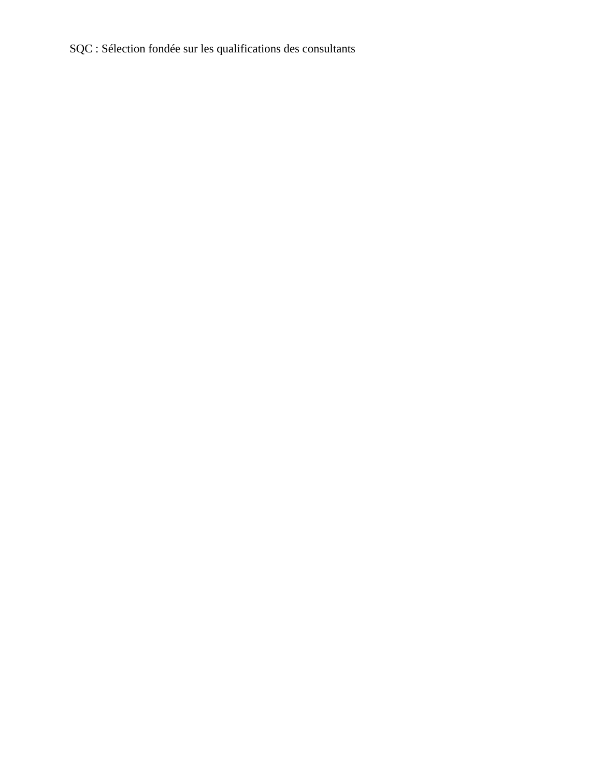SQC : Sélection fondée sur les qualifications des consultants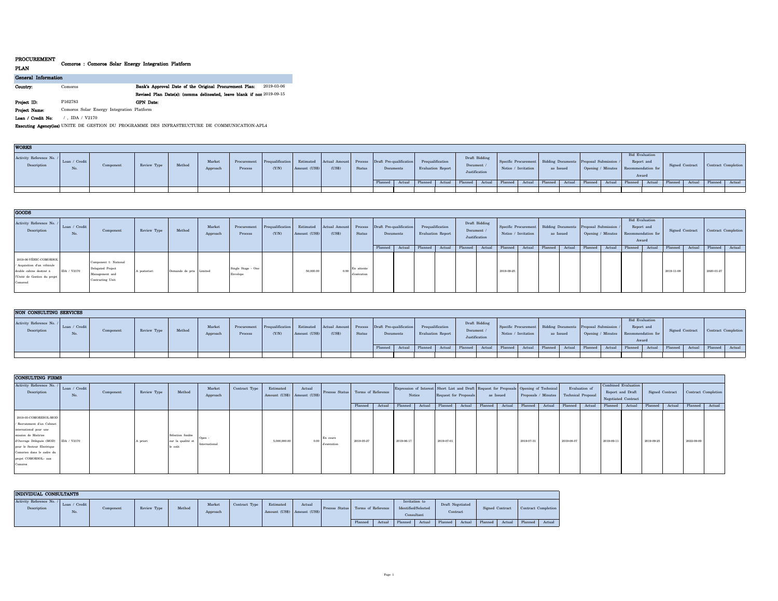| <b>FRUCUREMENT</b>  | Comoros : Comoros Solar Energy Integration Platform |                                                                        |
|---------------------|-----------------------------------------------------|------------------------------------------------------------------------|
| <b>PLAN</b>         |                                                     |                                                                        |
| General Information |                                                     |                                                                        |
| Country:            | Comoros                                             | 2019-03-06<br>Bank's Approval Date of the Original Procurement Plan:   |
|                     |                                                     | Revised Plan Date(s): (comma delineated, leave blank if non 2019-09-15 |
| Project ID:         | P162783                                             | <b>GPN</b> Date:                                                       |
| Project Name:       | Comoros Solar Energy Integration Platform           |                                                                        |
| Loan / Credit No:   | IDA / V2170                                         |                                                                        |

**Executing Agency(ies):**UNITE DE GESTION DU PROGRAMME DES INFRASTRUCTURE DE COMMUNICATION-APL4

| <b>WORKS</b>                            |                      |           |             |        |                    |         |                                                                                                                |               |        |        |           |                   |          |                                       |                                                                                                                                                                                                                              |           |  |                                                             |                       |                 |                     |  |
|-----------------------------------------|----------------------|-----------|-------------|--------|--------------------|---------|----------------------------------------------------------------------------------------------------------------|---------------|--------|--------|-----------|-------------------|----------|---------------------------------------|------------------------------------------------------------------------------------------------------------------------------------------------------------------------------------------------------------------------------|-----------|--|-------------------------------------------------------------|-----------------------|-----------------|---------------------|--|
| Activity Reference No. /<br>Description | Loan / Credit<br>No. | Component | Review Type | Method | Market<br>Approach | Process | Procurement Prequalification Estimated Actual Amount Process Draft Pre-qualification Prequalification<br>(Y/N) | Amount (US\$) | (US\$) | Status | Documents | Evaluation Report | Document | Draft Bidding<br><b>Justification</b> | Specific Procurement   Bidding Documents   Proposal Submission /<br>Notice / Invitation                                                                                                                                      | as Issued |  | Report and<br>Opening / Minutes Recommendation for<br>Award | <b>Bid Evaluation</b> | Signed Contract | Contract Completion |  |
|                                         |                      |           |             |        |                    |         |                                                                                                                |               |        |        |           |                   |          |                                       | Planned   Actual   Planned   Actual   Planned   Actual   Planned   Actual   Planned   Actual   Planned   Actual   Planned   Actual   Planned   Actual   Planned   Actual   Planned   Actual   Planned   Actual   Planned   A |           |  |                                                             |                       |                 |                     |  |
|                                         |                      |           |             |        |                    |         |                                                                                                                |               |        |        |           |                   |          |                                       |                                                                                                                                                                                                                              |           |  |                                                             |                       |                 |                     |  |

| <b>GOODS</b>                                                                                                                 |                      |                                                                                  |              |                         |                    |                                |                                       |               |                                                                                   |                           |           |        |                   |        |                           |               |                                                                                         |        |           |        |                |                                                                               |                 |        |                     |        |
|------------------------------------------------------------------------------------------------------------------------------|----------------------|----------------------------------------------------------------------------------|--------------|-------------------------|--------------------|--------------------------------|---------------------------------------|---------------|-----------------------------------------------------------------------------------|---------------------------|-----------|--------|-------------------|--------|---------------------------|---------------|-----------------------------------------------------------------------------------------|--------|-----------|--------|----------------|-------------------------------------------------------------------------------|-----------------|--------|---------------------|--------|
| Activity Reference No. /<br>Description                                                                                      | Loan / Credit<br>No. | Component                                                                        | Review Type  | Method                  | Market<br>Approach | Process                        | Procurement Prequalification<br>(Y/N) | Amount (US\$) | Estimated Actual Amount Process Draft Pre-qualification Prequalification<br>(USS) | Status                    | Documents |        | Evaluation Report |        | Document<br>Justification | Draft Bidding | Specific Procurement   Bidding Documents   Proposal Submission /<br>Notice / Invitation |        | as Issued |        |                | Bid Evaluation<br>Report and<br>Opening / Minutes Recommendation for<br>Award | Signed Contract |        | Contract Completion |        |
|                                                                                                                              |                      |                                                                                  |              |                         |                    |                                |                                       |               |                                                                                   |                           | Planneo   | Actual | Planned           | Actual | Planned                   | Actual        | Planned                                                                                 | Actual | Planned   | Actual | Planned Actual | Planned   Actual                                                              | Planned         | Actual | Planned             | Actual |
| 2019-06-VÉHIC-COMORSOL<br>/ Acquisition d'un véhicule<br>double cabine destiné à<br>l'Unité de Gestion du projet<br>Comprool | IDA / V2170          | Component 1: National<br>Delegated Project<br>Management and<br>Contracting Unit | A posteriori | Demande de prix Limited |                    | Single Stage - One<br>Envelope |                                       | 50,000.0      | 0.001                                                                             | En attente<br>d'exécution |           |        |                   |        |                           |               | 2019-09-25                                                                              |        |           |        |                |                                                                               | 2019-11-08      |        | 2020-01-27          |        |

| NON CONSULTING SERVICES  |               |           |             |        |          |             |                 |               |                                                                          |        |           |  |                   |          |               |                                                                                                       |           |  |                                      |                                              |                     |  |
|--------------------------|---------------|-----------|-------------|--------|----------|-------------|-----------------|---------------|--------------------------------------------------------------------------|--------|-----------|--|-------------------|----------|---------------|-------------------------------------------------------------------------------------------------------|-----------|--|--------------------------------------|----------------------------------------------|---------------------|--|
| Activity Reference No. / |               |           |             |        |          |             |                 |               |                                                                          |        |           |  |                   |          | Draft Bidding |                                                                                                       |           |  | <b>Bid Evaluation</b>                |                                              |                     |  |
| Description              | Loan / Credit | Component | Review Type | Method | Market   | Procurement | Prequalificatio |               | Estimated Actual Amount Process Draft Pre-qualification Prequalification |        |           |  |                   | Document |               | Specific Procurement   Bidding Documents   Proposal Submission /                                      |           |  | Report and                           | Signed Contract                              | Contract Completion |  |
|                          | No.           |           |             |        | Approach | Proces      | (Y/N)           | Amount (US\$) | ( <sub>US</sub> <sub>S</sub> )                                           | Status | Documents |  | Evaluation Report |          | Justification | Notice / Invitation                                                                                   | as Issued |  | Opening / Minutes Recommendation for |                                              |                     |  |
|                          |               |           |             |        |          |             |                 |               |                                                                          |        |           |  |                   |          |               |                                                                                                       |           |  | Award                                |                                              |                     |  |
|                          |               |           |             |        |          |             |                 |               |                                                                          |        | Planned   |  |                   |          |               | Actual   Planned   Actual   Planned   Actual   Planned   Actual   Planned   Actual   Planned   Actual |           |  |                                      | Planned Actual Planned Actual Planned Actual |                     |  |
|                          |               |           |             |        |          |             |                 |               |                                                                          |        |           |  |                   |          |               |                                                                                                       |           |  |                                      |                                              |                     |  |

| <b>CONSULTING FIRMS</b>                                                                                                                                                                                                        |                      |           |             |                                                  |                       |               |                                          |        |                         |            |                                             |            |                                                                                                                 |            |           |         |        |          |                                                           |            |                                                                |                |                 |            |                     |                |  |
|--------------------------------------------------------------------------------------------------------------------------------------------------------------------------------------------------------------------------------|----------------------|-----------|-------------|--------------------------------------------------|-----------------------|---------------|------------------------------------------|--------|-------------------------|------------|---------------------------------------------|------------|-----------------------------------------------------------------------------------------------------------------|------------|-----------|---------|--------|----------|-----------------------------------------------------------|------------|----------------------------------------------------------------|----------------|-----------------|------------|---------------------|----------------|--|
| Activity Reference No. /<br>Description                                                                                                                                                                                        | Loan / Credit<br>No. | Component | Review Type | Method                                           | Market<br>Approach    | Contract Type | Estimated<br>Amount (US\$) Amount (US\$) | Actual |                         |            | Process Status Terms of Reference<br>Notice |            | Expression of Interest Short List and Draft Request for Proposals Opening of Technical<br>Request for Proposals |            | as Issued |         |        |          | Evaluation of<br>Proposals / Minutes   Technical Proposal |            | Combined Evaluation<br>Report and Draft<br>Negotiated Contract |                | Signed Contract |            | Contract Completion |                |  |
|                                                                                                                                                                                                                                |                      |           |             |                                                  |                       |               |                                          |        |                         | Planned    | Actual                                      | Planned    | Actual                                                                                                          | Planned    | Actual    | Planned | Actual | Planned  | Actual                                                    | Planned    | Actual                                                         | Planned Actual |                 | Planned    | Actual              | Planned Actual |  |
| 2019-03-COMORESOL-MOD<br>/ Recrutement d'un Cabinet<br>international pour une<br>mission de Maitrise<br>d'Ouvrage Déléguée (MOD)<br>pour le Secteur Electrique<br>Comorien dans le cadre du<br>projet COMORSOL- aux<br>Comores | IDA / V2170          |           | A priori    | Sélection fondée<br>sur la qualité et<br>le coût | Open<br>International |               | 5,000,000.00                             | 0.00   | En cours<br>d'exécution | 2019-05-27 |                                             | 2019-06-17 |                                                                                                                 | 2019-07-01 |           |         |        | 2019-07- |                                                           | 2019-08-07 |                                                                | 2019-09-11     |                 | 2019-09-25 |                     | 2022-09-09     |  |

| INDIVIDUAL CONSULTANTS                  |                      |           |             |        |                    |               |                                          |        |                |                    |       |                                                    |        |                              |        |                 |        |                     |        |  |
|-----------------------------------------|----------------------|-----------|-------------|--------|--------------------|---------------|------------------------------------------|--------|----------------|--------------------|-------|----------------------------------------------------|--------|------------------------------|--------|-----------------|--------|---------------------|--------|--|
| Activity Reference No. /<br>Description | Loan / Credit<br>No. | Component | Review Type | Method | Market<br>Approach | Contract Type | Estimated<br>Amount (US\$) Amount (US\$) | Actual | Process Status | Terms of Reference |       | Invitation to<br>Identified/Selected<br>Consultant |        | Draft Negotiated<br>Contract |        | Signed Contract |        | Contract Completion |        |  |
|                                         |                      |           |             |        |                    |               |                                          |        |                | Planned            | Actua | Planned                                            | Actual | Planned                      | Actual | Planned         | Actual | Planned             | Actual |  |